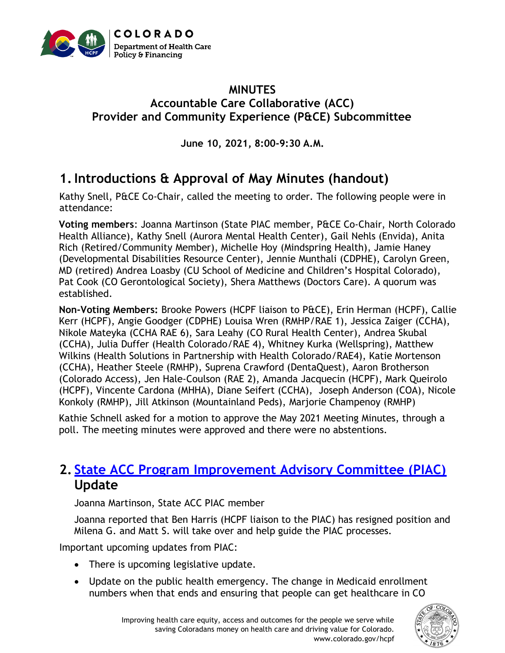

### **MINUTES Accountable Care Collaborative (ACC) Provider and Community Experience (P&CE) Subcommittee**

**June 10, 2021, 8:00-9:30 A.M.**

# **1.Introductions & Approval of May Minutes (handout)**

Kathy Snell, P&CE Co-Chair, called the meeting to order. The following people were in attendance:

**Voting members**: Joanna Martinson (State PIAC member, P&CE Co-Chair, North Colorado Health Alliance), Kathy Snell (Aurora Mental Health Center), Gail Nehls (Envida), Anita Rich (Retired/Community Member), Michelle Hoy (Mindspring Health), Jamie Haney (Developmental Disabilities Resource Center), Jennie Munthali (CDPHE), Carolyn Green, MD (retired) Andrea Loasby (CU School of Medicine and Children's Hospital Colorado), Pat Cook (CO Gerontological Society), Shera Matthews (Doctors Care). A quorum was established.

**Non-Voting Members:** Brooke Powers (HCPF liaison to P&CE), Erin Herman (HCPF), Callie Kerr (HCPF), Angie Goodger (CDPHE) Louisa Wren (RMHP/RAE 1), Jessica Zaiger (CCHA), Nikole Mateyka (CCHA RAE 6), Sara Leahy (CO Rural Health Center), Andrea Skubal (CCHA), Julia Duffer (Health Colorado/RAE 4), Whitney Kurka (Wellspring), Matthew Wilkins (Health Solutions in Partnership with Health Colorado/RAE4), Katie Mortenson (CCHA), Heather Steele (RMHP), Suprena Crawford (DentaQuest), Aaron Brotherson (Colorado Access), Jen Hale-Coulson (RAE 2), Amanda Jacquecin (HCPF), Mark Queirolo (HCPF), Vincente Cardona (MHHA), Diane Seifert (CCHA), Joseph Anderson (COA), Nicole Konkoly (RMHP), Jill Atkinson (Mountainland Peds), Marjorie Champenoy (RMHP)

Kathie Schnell asked for a motion to approve the May 2021 Meeting Minutes, through a poll. The meeting minutes were approved and there were no abstentions.

## **2. [State ACC Program Improvement Advisory Committee \(PIAC\)](https://www.colorado.gov/pacific/hcpf/accountable-care-collaborative-program-improvement-advisory-committee) Update**

Joanna Martinson, State ACC PIAC member

Joanna reported that Ben Harris (HCPF liaison to the PIAC) has resigned position and Milena G. and Matt S. will take over and help guide the PIAC processes.

Important upcoming updates from PIAC:

- There is upcoming legislative update.
- Update on the public health emergency. The change in Medicaid enrollment numbers when that ends and ensuring that people can get healthcare in CO

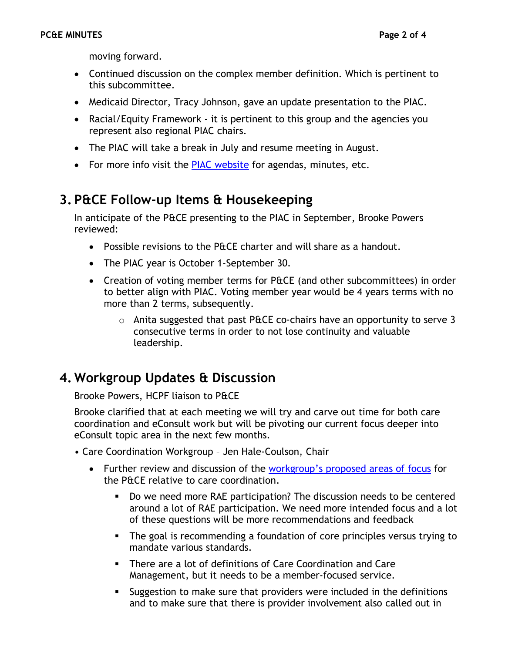moving forward.

- Continued discussion on the complex member definition. Which is pertinent to this subcommittee.
- Medicaid Director, Tracy Johnson, gave an update presentation to the PIAC.
- Racial/Equity Framework it is pertinent to this group and the agencies you represent also regional PIAC chairs.
- The PIAC will take a break in July and resume meeting in August.
- For more info visit the [PIAC website](https://hcpf.colorado.gov/accountable-care-collaborative-program-improvement-advisory-committee) for agendas, minutes, etc.

## **3. P&CE Follow-up Items & Housekeeping**

In anticipate of the P&CE presenting to the PIAC in September, Brooke Powers reviewed:

- Possible revisions to the P&CE charter and will share as a handout.
- The PIAC year is October 1-September 30.
- Creation of voting member terms for P&CE (and other subcommittees) in order to better align with PIAC. Voting member year would be 4 years terms with no more than 2 terms, subsequently.
	- $\circ$  Anita suggested that past P&CE co-chairs have an opportunity to serve 3 consecutive terms in order to not lose continuity and valuable leadership.

### **4. Workgroup Updates & Discussion**

Brooke Powers, HCPF liaison to P&CE

Brooke clarified that at each meeting we will try and carve out time for both care coordination and eConsult work but will be pivoting our current focus deeper into eConsult topic area in the next few months.

- Care Coordination Workgroup Jen Hale-Coulson, Chair
	- Further review and discussion of the workgroup'[s proposed areas of focus](https://hcpf.colorado.gov/sites/hcpf/files/Provider%20and%20Community%20Experience%20PIAC%20Subcommittee%20Care%20Coordination%20Workgroup%20Areas%20of%20Focus%20June%202021.pdf) for the P&CE relative to care coordination.
		- Do we need more RAE participation? The discussion needs to be centered around a lot of RAE participation. We need more intended focus and a lot of these questions will be more recommendations and feedback
		- **•** The goal is recommending a foundation of core principles versus trying to mandate various standards.
		- There are a lot of definitions of Care Coordination and Care Management, but it needs to be a member-focused service.
		- **EXE** Suggestion to make sure that providers were included in the definitions and to make sure that there is provider involvement also called out in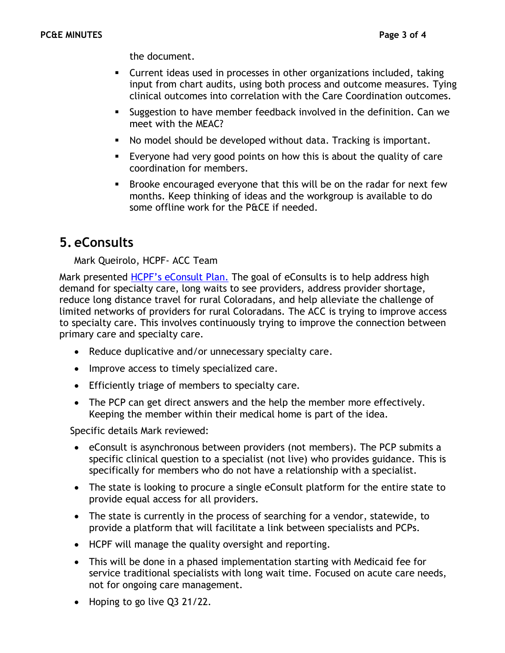the document.

- Current ideas used in processes in other organizations included, taking input from chart audits, using both process and outcome measures. Tying clinical outcomes into correlation with the Care Coordination outcomes.
- **EXECT** Suggestion to have member feedback involved in the definition. Can we meet with the MEAC?
- No model should be developed without data. Tracking is important.
- Everyone had very good points on how this is about the quality of care coordination for members.
- Brooke encouraged everyone that this will be on the radar for next few months. Keep thinking of ideas and the workgroup is available to do some offline work for the P&CE if needed.

## **5. eConsults**

#### Mark Queirolo, HCPF- ACC Team

Mark presented [HCPF's eConsult Plan](https://hcpf.colorado.gov/sites/hcpf/files/Provider%20and%20Community%20Experience%20PIAC%20Subcommittee%20eConsult%20Slide%20June%202021.pdf). The goal of eConsults is to help address high demand for specialty care, long waits to see providers, address provider shortage, reduce long distance travel for rural Coloradans, and help alleviate the challenge of limited networks of providers for rural Coloradans. The ACC is trying to improve access to specialty care. This involves continuously trying to improve the connection between primary care and specialty care.

- Reduce duplicative and/or unnecessary specialty care.
- Improve access to timely specialized care.
- Efficiently triage of members to specialty care.
- The PCP can get direct answers and the help the member more effectively. Keeping the member within their medical home is part of the idea.

Specific details Mark reviewed:

- eConsult is asynchronous between providers (not members). The PCP submits a specific clinical question to a specialist (not live) who provides guidance. This is specifically for members who do not have a relationship with a specialist.
- The state is looking to procure a single eConsult platform for the entire state to provide equal access for all providers.
- The state is currently in the process of searching for a vendor, statewide, to provide a platform that will facilitate a link between specialists and PCPs.
- HCPF will manage the quality oversight and reporting.
- This will be done in a phased implementation starting with Medicaid fee for service traditional specialists with long wait time. Focused on acute care needs, not for ongoing care management.
- Hoping to go live Q3 21/22.